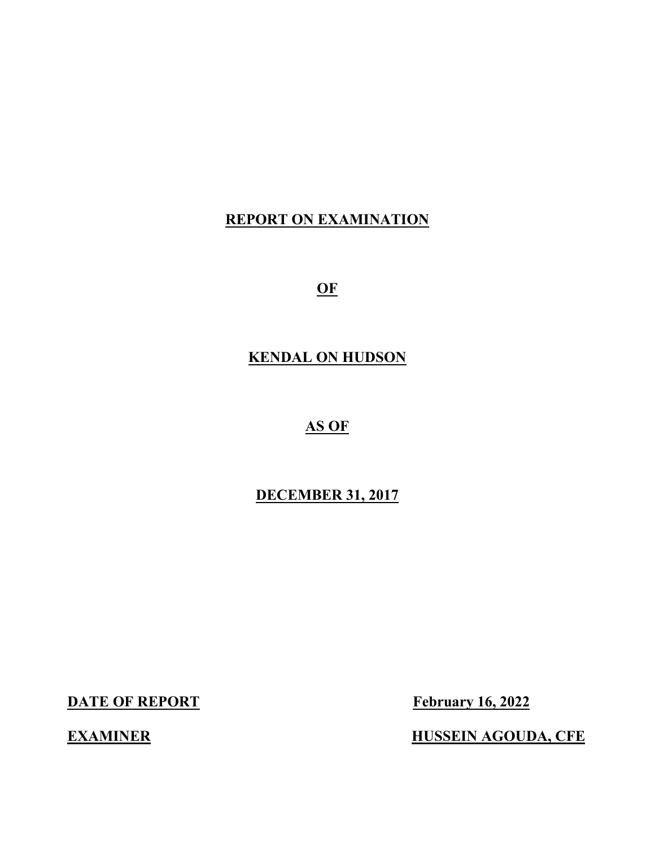# **REPORT ON EXAMINATION**

**OF** 

# **KENDAL ON HUDSON**

# **AS OF**

# **DECEMBER 31, 2017**

**DATE OF REPORT** February 16, 2022

**EXAMINER HUSSEIN AGOUDA, CFE**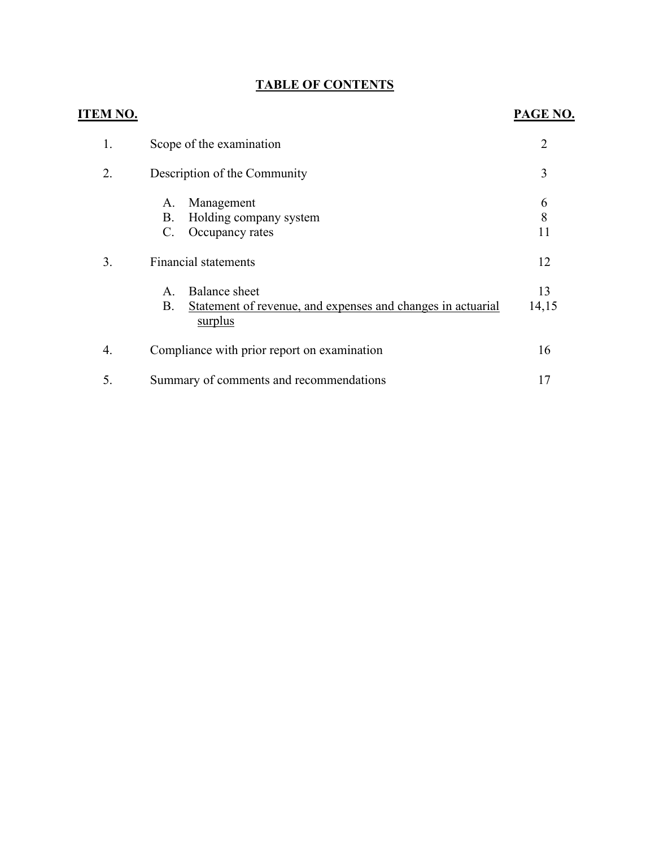# **TABLE OF CONTENTS**

| <b>ITEM NO.</b> |                                                                                                                                                                                                                                                  | PAGE NO.                          |
|-----------------|--------------------------------------------------------------------------------------------------------------------------------------------------------------------------------------------------------------------------------------------------|-----------------------------------|
| 1.              | Scope of the examination                                                                                                                                                                                                                         | $\overline{2}$                    |
| 2.              | Description of the Community                                                                                                                                                                                                                     | 3                                 |
| 3.              | Management<br>A.<br>Holding company system<br>В.<br>Occupancy rates<br>$\mathbf{C}$ .<br><b>Financial statements</b><br><b>Balance</b> sheet<br>A.<br>Statement of revenue, and expenses and changes in actuarial<br><b>B.</b><br><u>surplus</u> | 6<br>8<br>11<br>12<br>13<br>14,15 |
| 4.              | Compliance with prior report on examination                                                                                                                                                                                                      | 16                                |
| 5.              | Summary of comments and recommendations                                                                                                                                                                                                          | 17                                |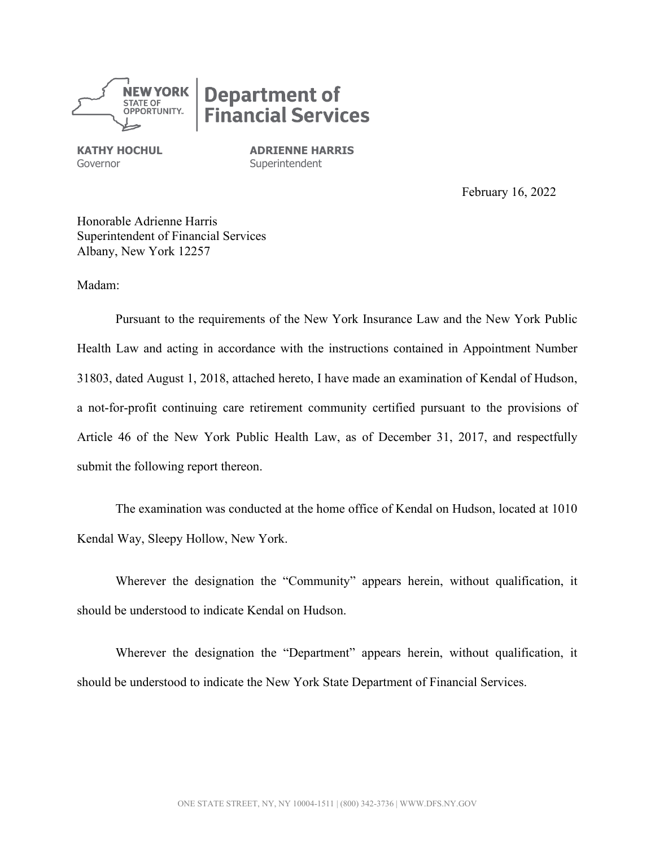

# **Department of<br>Financial Services**

Governor **Superintendent** 

**KATHY HOCHUL ADRIENNE HARRIS** 

February 16, 2022

 Honorable Adrienne Harris Superintendent of Financial Services Albany, New York 12257

Madam:

 31803, dated August 1, 2018, attached hereto, I have made an examination of Kendal of Hudson, Pursuant to the requirements of the New York Insurance Law and the New York Public Health Law and acting in accordance with the instructions contained in Appointment Number a not-for-profit continuing care retirement community certified pursuant to the provisions of Article 46 of the New York Public Health Law, as of December 31, 2017, and respectfully submit the following report thereon.

 The examination was conducted at the home office of Kendal on Hudson, located at 1010 Kendal Way, Sleepy Hollow, New York.

Wherever the designation the "Community" appears herein, without qualification, it should be understood to indicate Kendal on Hudson.

Wherever the designation the "Department" appears herein, without qualification, it should be understood to indicate the New York State Department of Financial Services.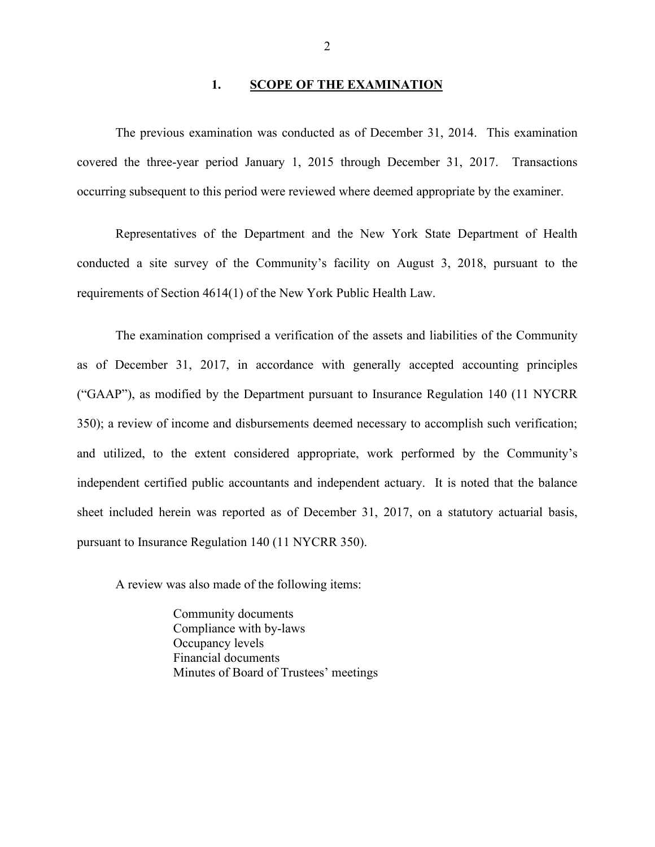# 1. **SCOPE OF THE EXAMINATION**

 The previous examination was conducted as of December 31, 2014. This examination covered the three-year period January 1, 2015 through December 31, 2017. Transactions occurring subsequent to this period were reviewed where deemed appropriate by the examiner.

Representatives of the Department and the New York State Department of Health conducted a site survey of the Community's facility on August 3, 2018, pursuant to the requirements of Section 4614(1) of the New York Public Health Law.

 as of December 31, 2017, in accordance with generally accepted accounting principles 350); a review of income and disbursements deemed necessary to accomplish such verification; sheet included herein was reported as of December 31, 2017, on a statutory actuarial basis, The examination comprised a verification of the assets and liabilities of the Community ("GAAP"), as modified by the Department pursuant to Insurance Regulation 140 (11 NYCRR and utilized, to the extent considered appropriate, work performed by the Community's independent certified public accountants and independent actuary. It is noted that the balance pursuant to Insurance Regulation 140 (11 NYCRR 350).

A review was also made of the following items:

 Minutes of Board of Trustees' meetings Community documents Compliance with by-laws Occupancy levels Financial documents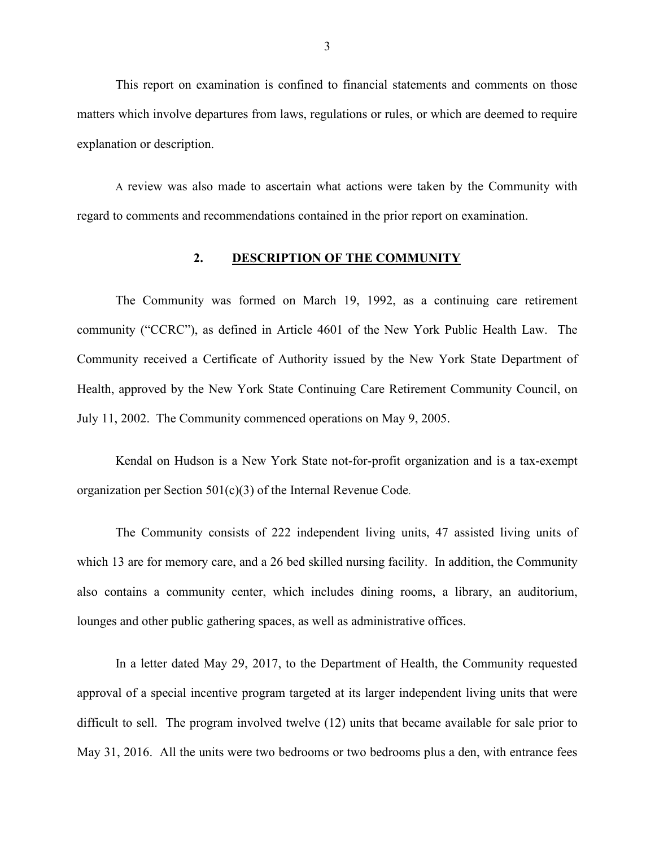This report on examination is confined to financial statements and comments on those matters which involve departures from laws, regulations or rules, or which are deemed to require explanation or description.

A review was also made to ascertain what actions were taken by the Community with regard to comments and recommendations contained in the prior report on examination.

#### **2. DESCRIPTION OF THE COMMUNITY**

 The Community was formed on March 19, 1992, as a continuing care retirement community ("CCRC"), as defined in Article 4601 of the New York Public Health Law. The July 11, 2002. The Community commenced operations on May 9, 2005. Community received a Certificate of Authority issued by the New York State Department of Health, approved by the New York State Continuing Care Retirement Community Council, on

Kendal on Hudson is a New York State not-for-profit organization and is a tax-exempt organization per Section 501(c)(3) of the Internal Revenue Code.

 The Community consists of 222 independent living units, 47 assisted living units of which 13 are for memory care, and a 26 bed skilled nursing facility. In addition, the Community also contains a community center, which includes dining rooms, a library, an auditorium, lounges and other public gathering spaces, as well as administrative offices.

 difficult to sell. The program involved twelve (12) units that became available for sale prior to In a letter dated May 29, 2017, to the Department of Health, the Community requested approval of a special incentive program targeted at its larger independent living units that were May 31, 2016. All the units were two bedrooms or two bedrooms plus a den, with entrance fees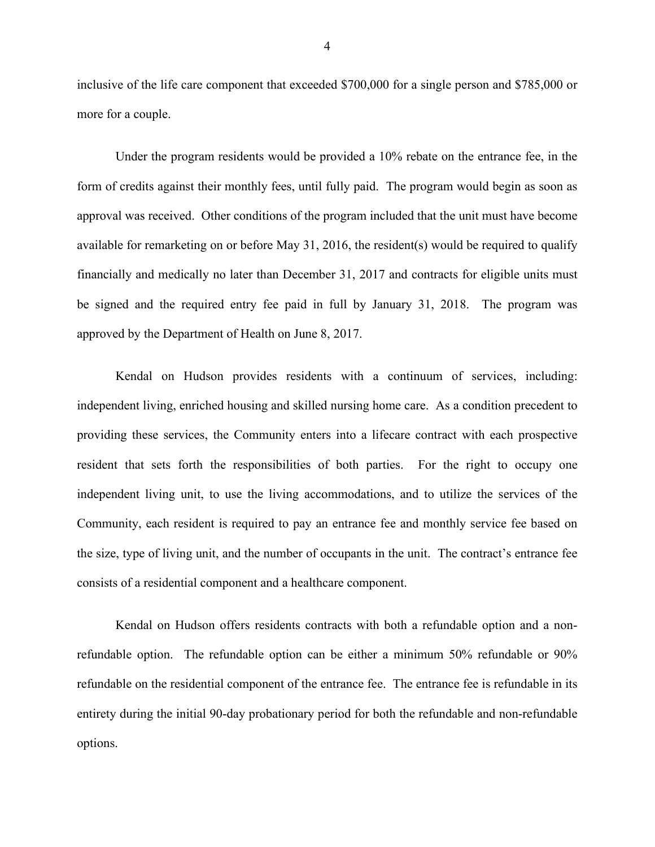more for a couple. inclusive of the life care component that exceeded \$700,000 for a single person and \$785,000 or

 approval was received. Other conditions of the program included that the unit must have become be signed and the required entry fee paid in full by January 31, 2018. The program was approved by the Department of Health on June 8, 2017. Under the program residents would be provided a 10% rebate on the entrance fee, in the form of credits against their monthly fees, until fully paid. The program would begin as soon as available for remarketing on or before May 31, 2016, the resident(s) would be required to qualify financially and medically no later than December 31, 2017 and contracts for eligible units must

 independent living, enriched housing and skilled nursing home care. As a condition precedent to resident that sets forth the responsibilities of both parties. For the right to occupy one Community, each resident is required to pay an entrance fee and monthly service fee based on the size, type of living unit, and the number of occupants in the unit. The contract's entrance fee Kendal on Hudson provides residents with a continuum of services, including: providing these services, the Community enters into a lifecare contract with each prospective independent living unit, to use the living accommodations, and to utilize the services of the consists of a residential component and a healthcare component.

 refundable option. The refundable option can be either a minimum 50% refundable or 90% refundable on the residential component of the entrance fee. The entrance fee is refundable in its Kendal on Hudson offers residents contracts with both a refundable option and a nonentirety during the initial 90-day probationary period for both the refundable and non-refundable options.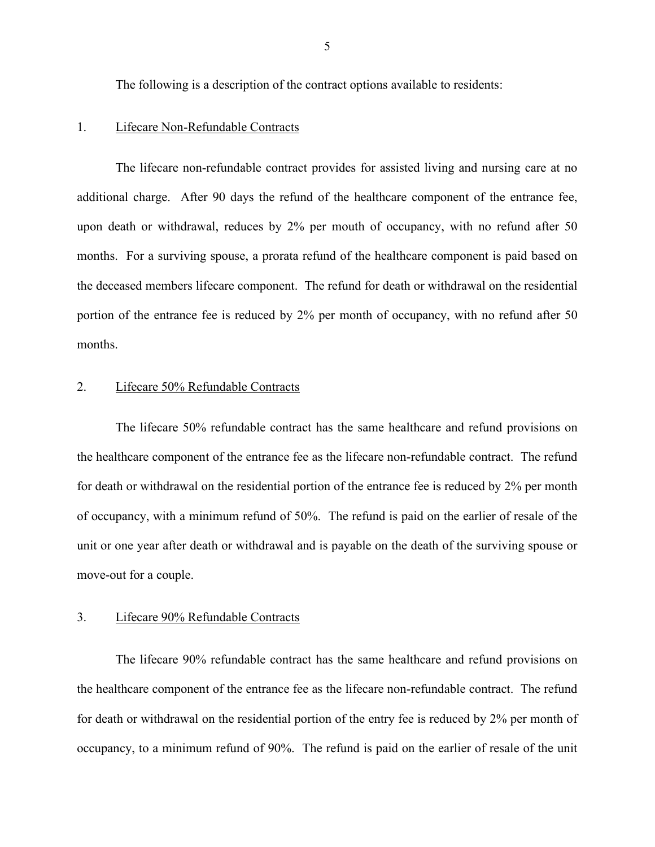The following is a description of the contract options available to residents:

#### 1. Lifecare Non-Refundable Contracts

 additional charge. After 90 days the refund of the healthcare component of the entrance fee, the deceased members lifecare component. The refund for death or withdrawal on the residential The lifecare non-refundable contract provides for assisted living and nursing care at no upon death or withdrawal, reduces by 2% per mouth of occupancy, with no refund after 50 months. For a surviving spouse, a prorata refund of the healthcare component is paid based on portion of the entrance fee is reduced by 2% per month of occupancy, with no refund after 50 months.

#### 2. Lifecare 50% Refundable Contracts

 the healthcare component of the entrance fee as the lifecare non-refundable contract. The refund of occupancy, with a minimum refund of 50%. The refund is paid on the earlier of resale of the move-out for a couple. The lifecare 50% refundable contract has the same healthcare and refund provisions on for death or withdrawal on the residential portion of the entrance fee is reduced by 2% per month unit or one year after death or withdrawal and is payable on the death of the surviving spouse or

#### 3. Lifecare 90% Refundable Contracts

 The lifecare 90% refundable contract has the same healthcare and refund provisions on the healthcare component of the entrance fee as the lifecare non-refundable contract. The refund occupancy, to a minimum refund of 90%. The refund is paid on the earlier of resale of the unit for death or withdrawal on the residential portion of the entry fee is reduced by 2% per month of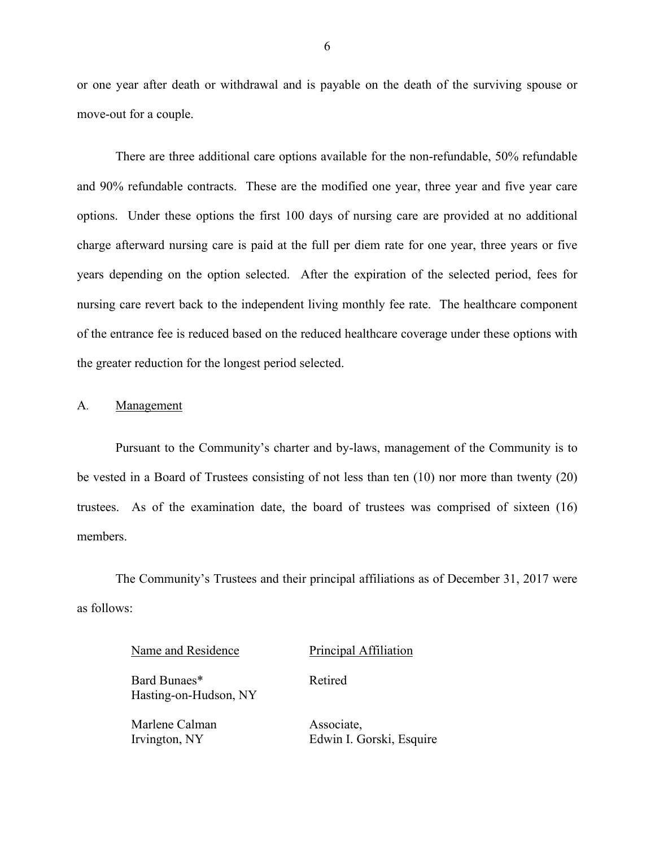move-out for a couple. or one year after death or withdrawal and is payable on the death of the surviving spouse or

 There are three additional care options available for the non-refundable, 50% refundable and 90% refundable contracts. These are the modified one year, three year and five year care options. Under these options the first 100 days of nursing care are provided at no additional charge afterward nursing care is paid at the full per diem rate for one year, three years or five years depending on the option selected. After the expiration of the selected period, fees for of the entrance fee is reduced based on the reduced healthcare coverage under these options with the greater reduction for the longest period selected. nursing care revert back to the independent living monthly fee rate. The healthcare component

#### A. Management

 be vested in a Board of Trustees consisting of not less than ten (10) nor more than twenty (20) Pursuant to the Community's charter and by-laws, management of the Community is to trustees. As of the examination date, the board of trustees was comprised of sixteen (16) members.

 The Community's Trustees and their principal affiliations as of December 31, 2017 were as follows:

Retired

Name and Residence Principal Affiliation

Bard Bunaes\* Hasting-on-Hudson, NY

Marlene Calman Irvington, NY

Associate, Edwin I. Gorski, Esquire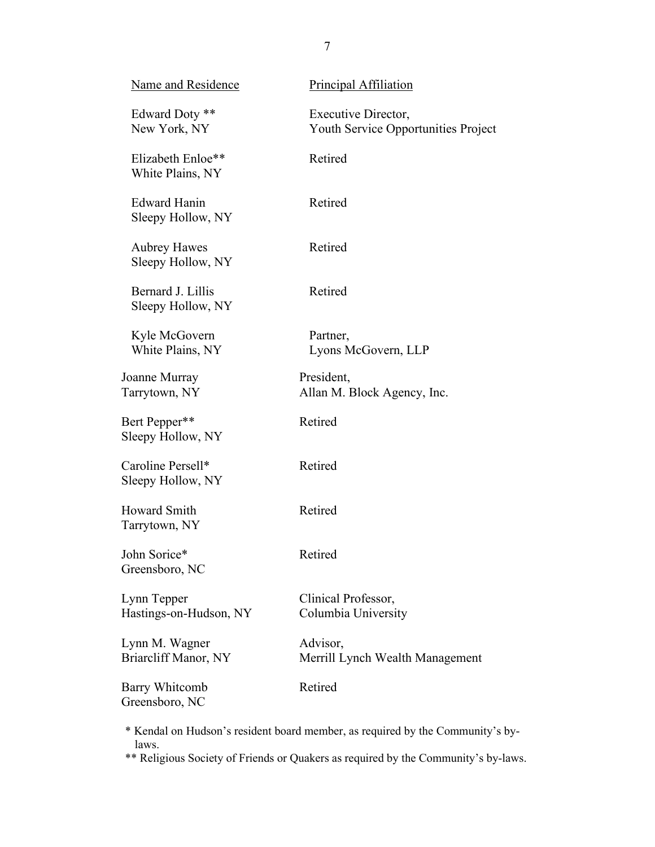| Name and Residence                       | Principal Affiliation                                      |
|------------------------------------------|------------------------------------------------------------|
| Edward Doty **<br>New York, NY           | Executive Director,<br>Youth Service Opportunities Project |
| Elizabeth Enloe**<br>White Plains, NY    | Retired                                                    |
| <b>Edward Hanin</b><br>Sleepy Hollow, NY | Retired                                                    |
| <b>Aubrey Hawes</b><br>Sleepy Hollow, NY | Retired                                                    |
| Bernard J. Lillis<br>Sleepy Hollow, NY   | Retired                                                    |
| Kyle McGovern<br>White Plains, NY        | Partner,<br>Lyons McGovern, LLP                            |
| Joanne Murray<br>Tarrytown, NY           | President,<br>Allan M. Block Agency, Inc.                  |
| Bert Pepper**<br>Sleepy Hollow, NY       | Retired                                                    |
| Caroline Persell*<br>Sleepy Hollow, NY   | Retired                                                    |
| Howard Smith<br>Tarrytown, NY            | Retired                                                    |
| John Sorice*<br>Greensboro, NC           | Retired                                                    |
| Lynn Tepper<br>Hastings-on-Hudson, NY    | Clinical Professor,<br>Columbia University                 |
| Lynn M. Wagner<br>Briarcliff Manor, NY   | Advisor,<br>Merrill Lynch Wealth Management                |
| <b>Barry Whitcomb</b><br>Greensboro, NC  | Retired                                                    |
|                                          |                                                            |

 \* Kendal on Hudson's resident board member, as required by the Community's bylaws.

\*\* Religious Society of Friends or Quakers as required by the Community's by-laws.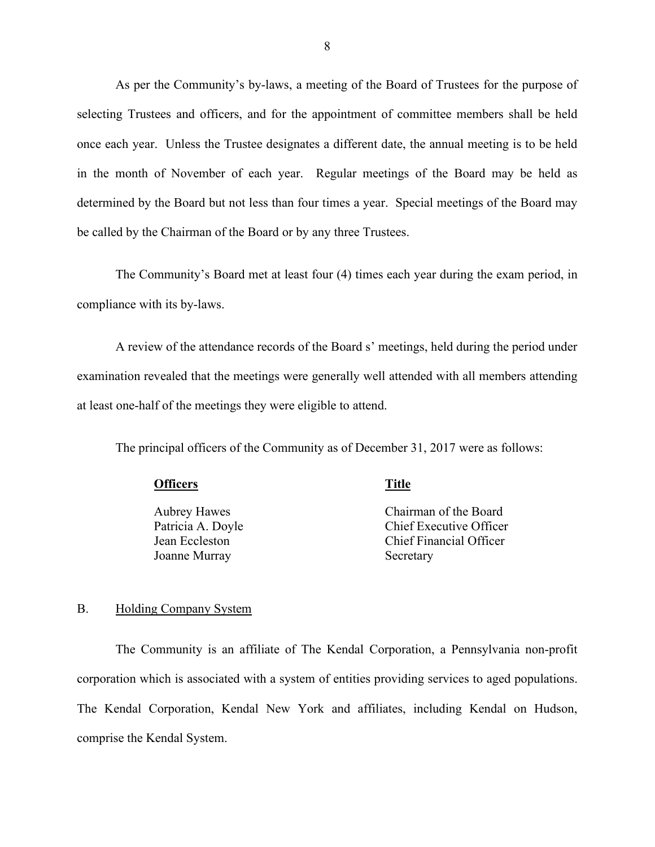selecting Trustees and officers, and for the appointment of committee members shall be held once each year. Unless the Trustee designates a different date, the annual meeting is to be held in the month of November of each year. Regular meetings of the Board may be held as determined by the Board but not less than four times a year. Special meetings of the Board may be called by the Chairman of the Board or by any three Trustees. As per the Community's by-laws, a meeting of the Board of Trustees for the purpose of

The Community's Board met at least four (4) times each year during the exam period, in compliance with its by-laws.

 A review of the attendance records of the Board s' meetings, held during the period under examination revealed that the meetings were generally well attended with all members attending at least one-half of the meetings they were eligible to attend.

The principal officers of the Community as of December 31, 2017 were as follows:

### **Officers** Title

**Aubrey Hawes** Aubrey Hawes<br>Patricia A. Doyle Jean Eccleston Jean Eccleston Joanne Murray

Chairman of the Board Chief Executive Officer Chief Financial Officer Secretary

#### B. Holding Company System

 The Community is an affiliate of The Kendal Corporation, a Pennsylvania non-profit comprise the Kendal System. corporation which is associated with a system of entities providing services to aged populations. The Kendal Corporation, Kendal New York and affiliates, including Kendal on Hudson,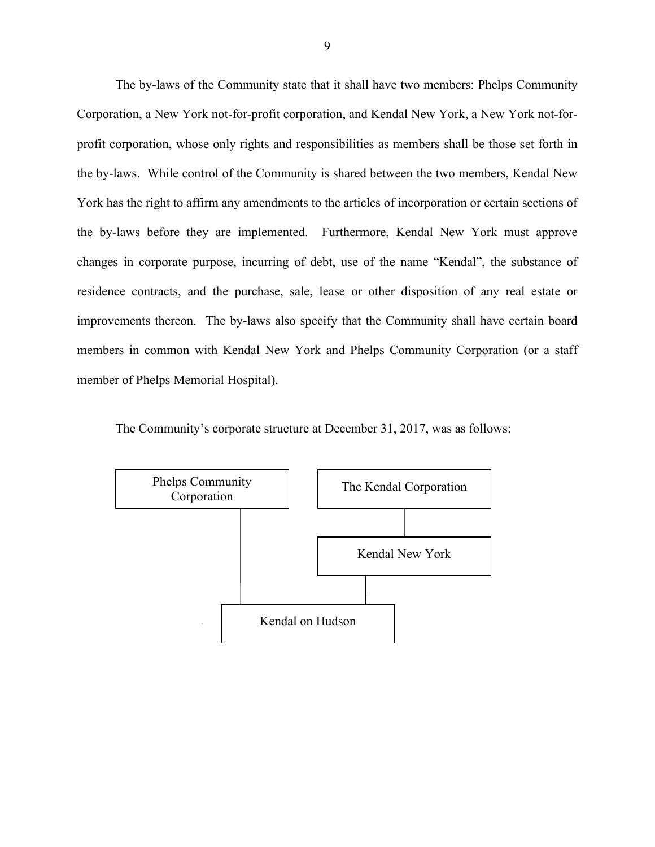Corporation, a New York not-for-profit corporation, and Kendal New York, a New York not-for- profit corporation, whose only rights and responsibilities as members shall be those set forth in the by-laws. While control of the Community is shared between the two members, Kendal New York has the right to affirm any amendments to the articles of incorporation or certain sections of changes in corporate purpose, incurring of debt, use of the name "Kendal", the substance of The by-laws of the Community state that it shall have two members: Phelps Community the by-laws before they are implemented. Furthermore, Kendal New York must approve residence contracts, and the purchase, sale, lease or other disposition of any real estate or improvements thereon. The by-laws also specify that the Community shall have certain board members in common with Kendal New York and Phelps Community Corporation (or a staff member of Phelps Memorial Hospital).



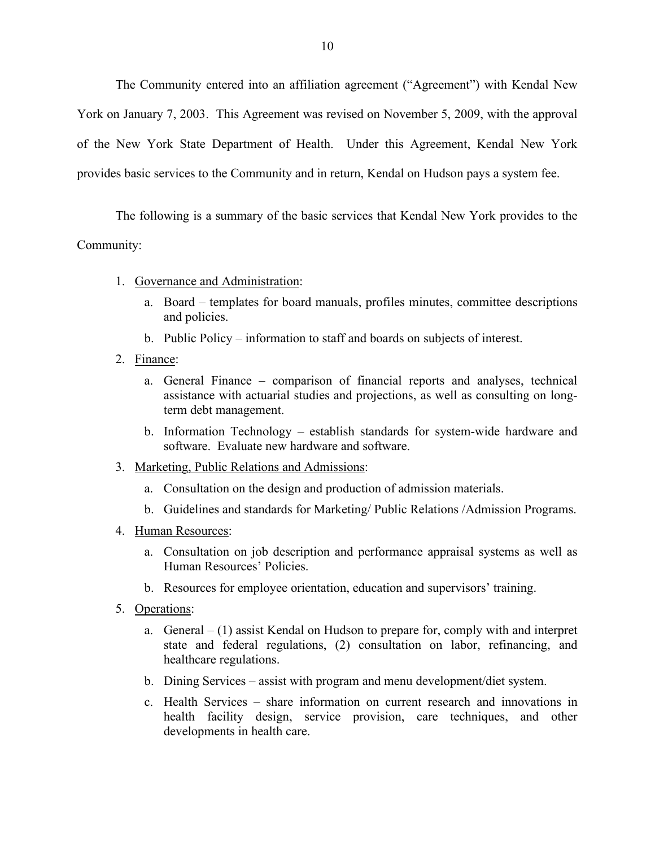of the New York State Department of Health. Under this Agreement, Kendal New York The Community entered into an affiliation agreement ("Agreement") with Kendal New York on January 7, 2003. This Agreement was revised on November 5, 2009, with the approval provides basic services to the Community and in return, Kendal on Hudson pays a system fee.

 The following is a summary of the basic services that Kendal New York provides to the Community:

- 1. Governance and Administration:
	- a. Board templates for board manuals, profiles minutes, committee descriptions and policies.
	- b. Public Policy information to staff and boards on subjects of interest.
- 2. Finance:
	- a. General Finance comparison of financial reports and analyses, technical assistance with actuarial studies and projections, as well as consulting on longterm debt management.
	- b. Information Technology establish standards for system-wide hardware and software. Evaluate new hardware and software.
- 3. Marketing, Public Relations and Admissions:
	- a. Consultation on the design and production of admission materials.
	- b. Guidelines and standards for Marketing/ Public Relations /Admission Programs.
- 4. Human Resources:
	- a. Consultation on job description and performance appraisal systems as well as Human Resources' Policies.
	- b. Resources for employee orientation, education and supervisors' training.
- 5. Operations:
	- a. General (1) assist Kendal on Hudson to prepare for, comply with and interpret state and federal regulations, (2) consultation on labor, refinancing, and healthcare regulations.
	- b. Dining Services assist with program and menu development/diet system.
	- c. Health Services share information on current research and innovations in health facility design, service provision, care techniques, and other developments in health care.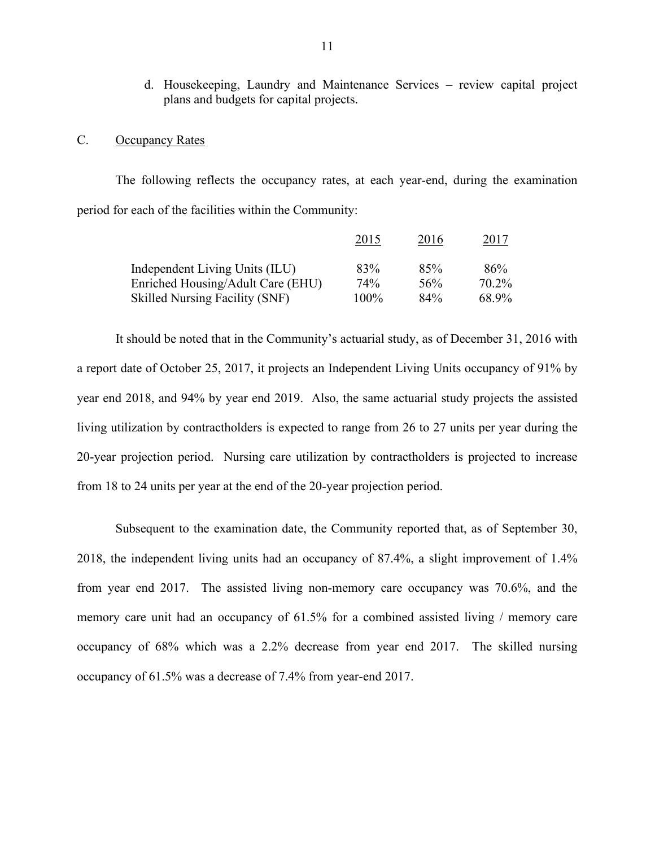d. Housekeeping, Laundry and Maintenance Services – review capital project plans and budgets for capital projects.

### <span id="page-12-0"></span>C. Occupancy Rates

The following reflects the occupancy rates, at each year-end, during the examination period for each of the facilities within the Community:

|                                       | 2015    | 2016 | 2017  |
|---------------------------------------|---------|------|-------|
| Independent Living Units (ILU)        | 83%     | 85%  | 86%   |
| Enriched Housing/Adult Care (EHU)     | 74%     | 56%  | 70.2% |
| <b>Skilled Nursing Facility (SNF)</b> | $100\%$ | 84%  | 68.9% |

 It should be noted that in the Community's actuarial study, as of December 31, 2016 with a report date of October 25, 2017, it projects an Independent Living Units occupancy of 91% by 20-year projection period. Nursing care utilization by contractholders is projected to increase year end 2018, and 94% by year end 2019. Also, the same actuarial study projects the assisted living utilization by contractholders is expected to range from 26 to 27 units per year during the from 18 to 24 units per year at the end of the 20-year projection period.

 2018, the independent living units had an occupancy of 87.4%, a slight improvement of 1.4% from year end 2017. The assisted living non-memory care occupancy was 70.6%, and the memory care unit had an occupancy of 61.5% for a combined assisted living / memory care occupancy of 68% which was a 2.2% decrease from year end 2017. The skilled nursing occupancy of 61.5% was a decrease of 7.4% from year-end 2017. Subsequent to the examination date, the Community reported that, as of September 30,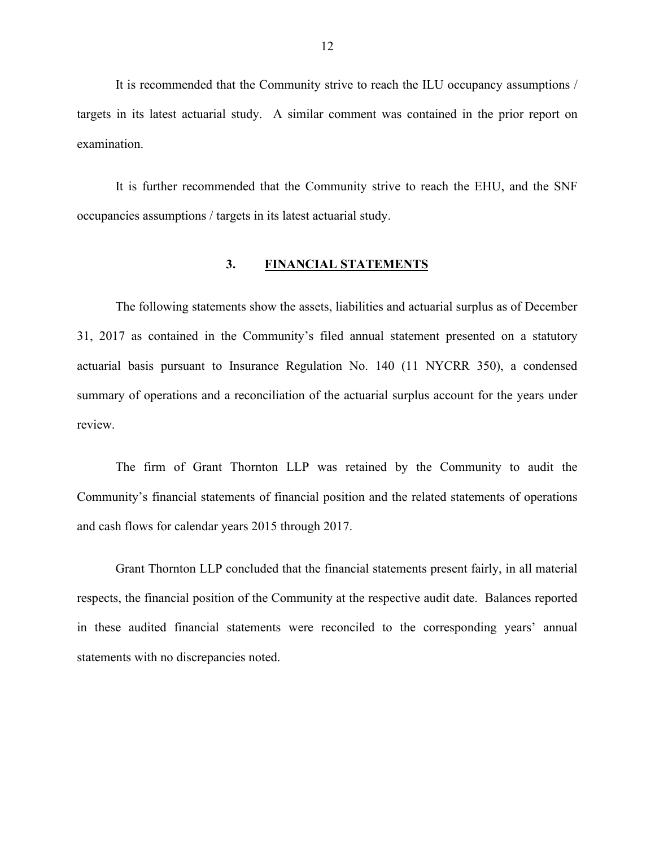<span id="page-13-0"></span> It is recommended that the Community strive to reach the ILU occupancy assumptions / targets in its latest actuarial study. A similar comment was contained in the prior report on examination.

 It is further recommended that the Community strive to reach the EHU, and the SNF occupancies assumptions / targets in its latest actuarial study.

# **3. FINANCIAL STATEMENTS**

 31, 2017 as contained in the Community's filed annual statement presented on a statutory The following statements show the assets, liabilities and actuarial surplus as of December actuarial basis pursuant to Insurance Regulation No. 140 (11 NYCRR 350), a condensed summary of operations and a reconciliation of the actuarial surplus account for the years under review.

The firm of Grant Thornton LLP was retained by the Community to audit the Community's financial statements of financial position and the related statements of operations and cash flows for calendar years 2015 through 2017.

 statements with no discrepancies noted. Grant Thornton LLP concluded that the financial statements present fairly, in all material respects, the financial position of the Community at the respective audit date. Balances reported in these audited financial statements were reconciled to the corresponding years' annual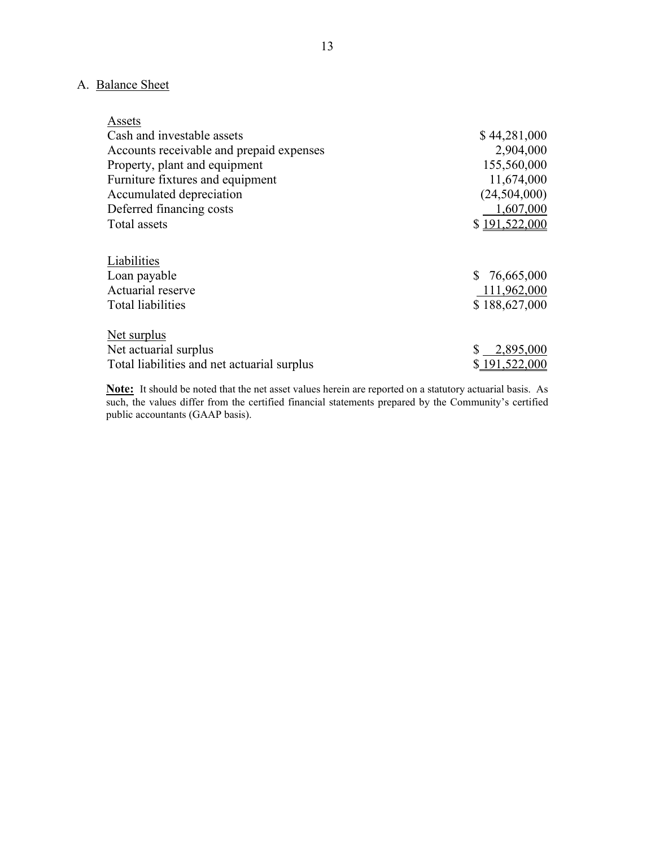# A. Balance Sheet

| Assets                                      |               |
|---------------------------------------------|---------------|
| Cash and investable assets                  | \$44,281,000  |
| Accounts receivable and prepaid expenses    | 2,904,000     |
| Property, plant and equipment               | 155,560,000   |
| Furniture fixtures and equipment            | 11,674,000    |
| Accumulated depreciation                    | (24,504,000)  |
| Deferred financing costs                    | 1,607,000     |
| Total assets                                | \$191,522,000 |
|                                             |               |
| Liabilities                                 |               |
| Loan payable                                | \$76,665,000  |
| Actuarial reserve                           | 111,962,000   |
| <b>Total liabilities</b>                    | \$188,627,000 |
| Net surplus                                 |               |
| Net actuarial surplus                       | 2,895,000     |
| Total liabilities and net actuarial surplus | \$191,522,000 |

 **Note:** It should be noted that the net asset values herein are reported on a statutory actuarial basis. As public accountants (GAAP basis). such, the values differ from the certified financial statements prepared by the Community's certified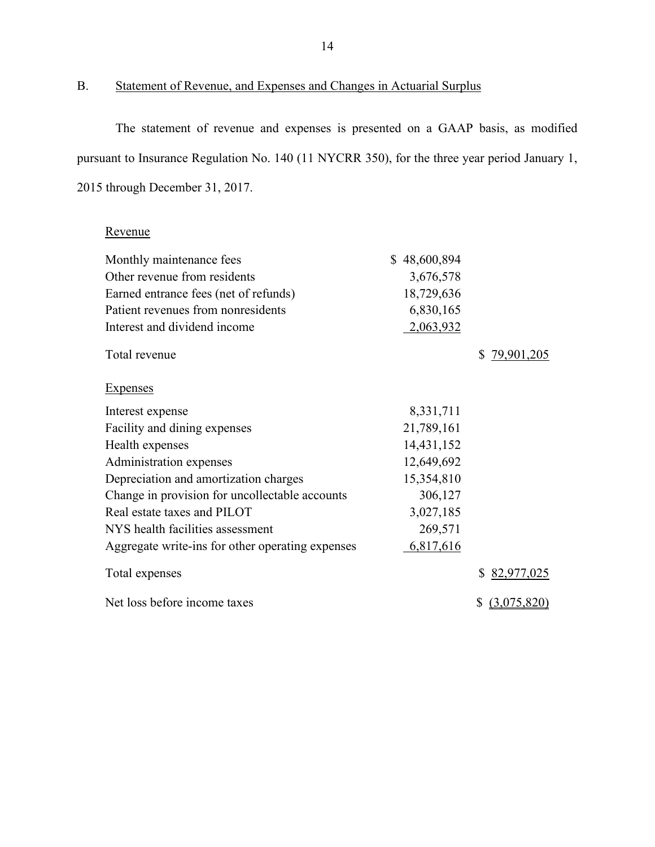# B. Statement of Revenue, and Expenses and Changes in Actuarial Surplus

 The statement of revenue and expenses is presented on a GAAP basis, as modified pursuant to Insurance Regulation No. 140 (11 NYCRR 350), for the three year period January 1, 2015 through December 31, 2017.

# Revenue

| Monthly maintenance fees                         | \$48,600,894 |                   |
|--------------------------------------------------|--------------|-------------------|
| Other revenue from residents                     | 3,676,578    |                   |
| Earned entrance fees (net of refunds)            | 18,729,636   |                   |
| Patient revenues from nonresidents               | 6,830,165    |                   |
| Interest and dividend income                     | 2,063,932    |                   |
| Total revenue                                    |              | \$79,901,205      |
| <b>Expenses</b>                                  |              |                   |
| Interest expense                                 | 8,331,711    |                   |
| Facility and dining expenses                     | 21,789,161   |                   |
| Health expenses                                  | 14,431,152   |                   |
| Administration expenses                          | 12,649,692   |                   |
| Depreciation and amortization charges            | 15,354,810   |                   |
| Change in provision for uncollectable accounts   | 306,127      |                   |
| Real estate taxes and PILOT                      | 3,027,185    |                   |
| NYS health facilities assessment                 | 269,571      |                   |
| Aggregate write-ins for other operating expenses | 6,817,616    |                   |
| Total expenses                                   |              | \$82,977,025      |
| Net loss before income taxes                     |              | (3,075,820)<br>\$ |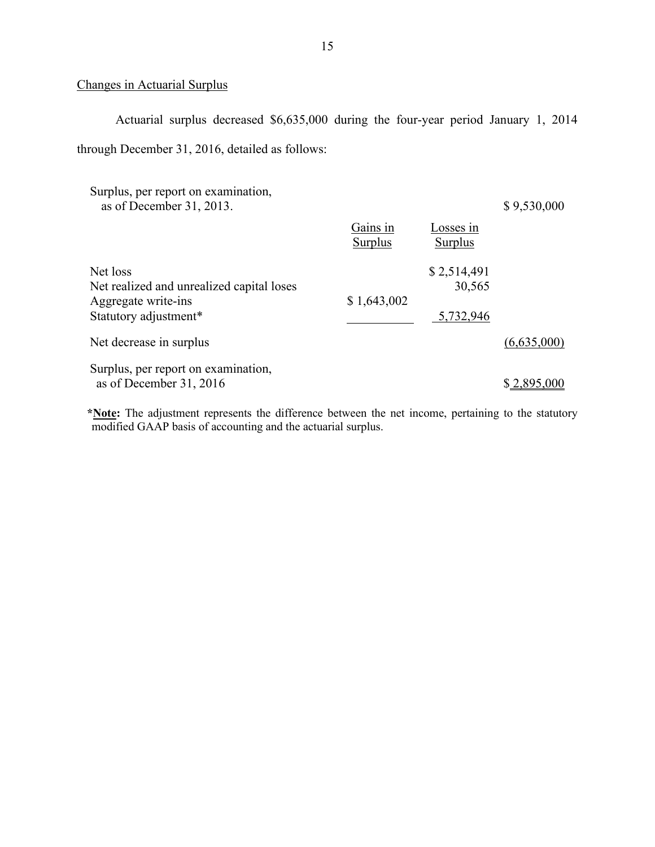### Changes in Actuarial Surplus

Actuarial surplus decreased \$6,635,000 during the four-year period January 1, 2014 through December 31, 2016, detailed as follows:

| Surplus, per report on examination,<br>as of December 31, 2013.                                       |                     |                                    | \$9,530,000 |
|-------------------------------------------------------------------------------------------------------|---------------------|------------------------------------|-------------|
|                                                                                                       | Gains in<br>Surplus | Losses in<br>Surplus               |             |
| Net loss<br>Net realized and unrealized capital loses<br>Aggregate write-ins<br>Statutory adjustment* | \$1,643,002         | \$2,514,491<br>30,565<br>5,732,946 |             |
| Net decrease in surplus                                                                               |                     |                                    | (6,635,000) |
| Surplus, per report on examination,<br>as of December 31, 2016                                        |                     |                                    | \$2,895,000 |

 modified GAAP basis of accounting and the actuarial surplus. **\*Note:** The adjustment represents the difference between the net income, pertaining to the statutory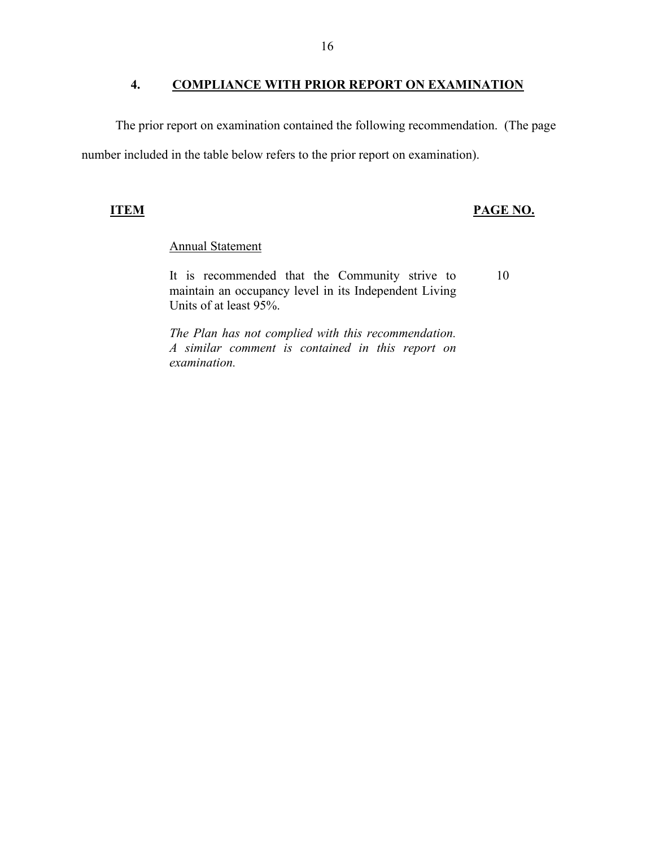#### **COMPLIANCE WITH PRIOR REPORT ON EXAMINATION**

<span id="page-17-0"></span>The prior report on examination contained the following recommendation. (The page number included in the table below refers to the prior report on examination).

## **ITEM PAGE NO.**

# Annual Statement

It is recommended that the Community strive to 10 maintain an occupancy level in its Independent Living Units of at least 95%.

 *The Plan has not complied with this recommendation. A similar comment is contained in this report on examination.*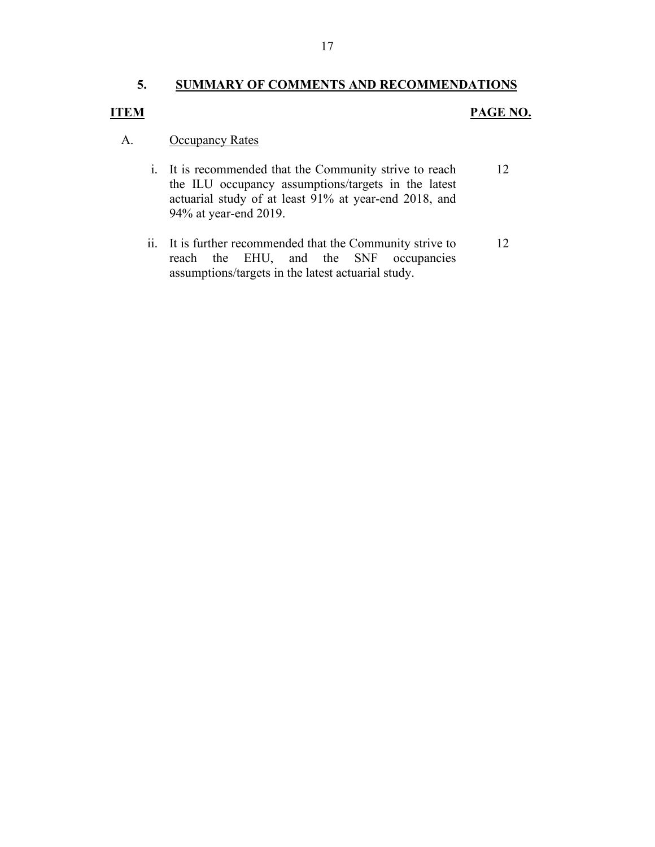# **5. SUMMARY OF COMMENTS AND RECOMMENDATIONS**

# **ITEM**

# **PAGE NO.**

#### A. **Occupancy Rates**

- i. It is recommended that the Community strive to reach the ILU occupancy assumptions/targets in the latest actuarial study of at least 91% at year-end 2018, and 94% at year-end 2019. 12
- ii. It is further recommended that the Community strive to reach the EHU, and the SNF occupancies assumptions/targets in the latest actuarial study. 12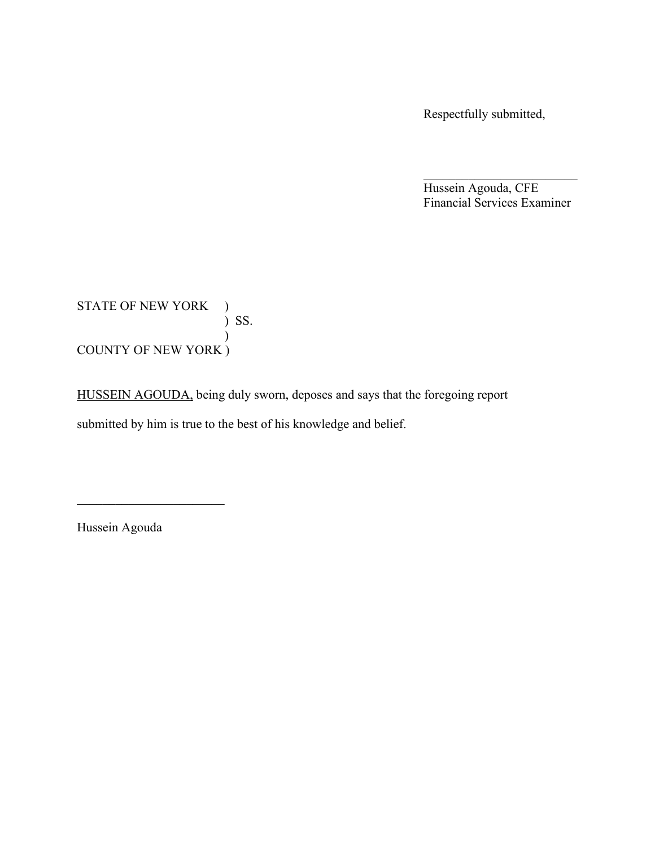Respectfully submitted,

Hussein Agouda, CFE Financial Services Examiner

 $\mathcal{L}_\text{max}$  , where  $\mathcal{L}_\text{max}$  and  $\mathcal{L}_\text{max}$ 

STATE OF NEW YORK ) ) SS.  $\mathcal{L}$ COUNTY OF NEW YORK )

HUSSEIN AGOUDA, being duly sworn, deposes and says that the foregoing report submitted by him is true to the best of his knowledge and belief.

Hussein Agouda

 $\overline{\phantom{a}}$